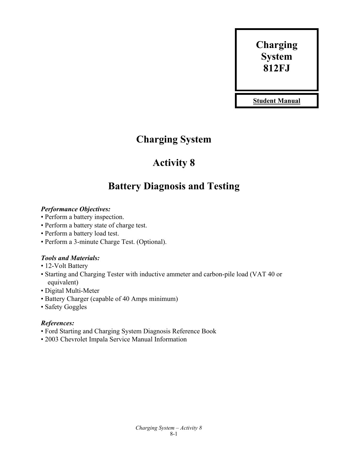# **Charging System 812FJ**

**Student Manual**

## **Charging System**

## **Activity 8**

## **Battery Diagnosis and Testing**

## *Performance Objectives:*

- Perform a battery inspection.
- Perform a battery state of charge test.
- Perform a battery load test.
- Perform a 3-minute Charge Test. (Optional).

## *Tools and Materials:*

- 12-Volt Battery
- Starting and Charging Tester with inductive ammeter and carbon-pile load (VAT 40 or equivalent)
- Digital Multi-Meter
- Battery Charger (capable of 40 Amps minimum)
- Safety Goggles

## *References:*

- Ford Starting and Charging System Diagnosis Reference Book
- 2003 Chevrolet Impala Service Manual Information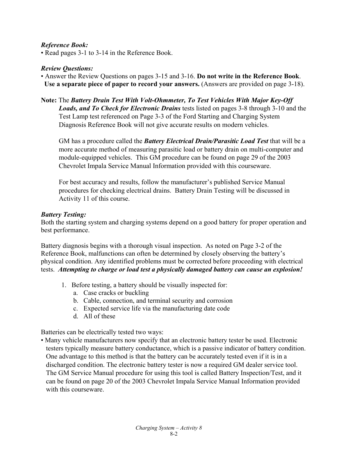#### *Reference Book:*

• Read pages 3-1 to 3-14 in the Reference Book.

#### *Review Questions:*

• Answer the Review Questions on pages 3-15 and 3-16. **Do not write in the Reference Book**. **Use a separate piece of paper to record your answers.** (Answers are provided on page 3-18).

**Note:** The *Battery Drain Test With Volt-Ohmmeter, To Test Vehicles With Major Key-Off Loads, and To Check for Electronic Drains* tests listed on pages 3-8 through 3-10 and the Test Lamp test referenced on Page 3-3 of the Ford Starting and Charging System Diagnosis Reference Book will not give accurate results on modern vehicles.

GM has a procedure called the *Battery Electrical Drain/Parasitic Load Test* that will be a more accurate method of measuring parasitic load or battery drain on multi-computer and module-equipped vehicles. This GM procedure can be found on page 29 of the 2003 Chevrolet Impala Service Manual Information provided with this courseware.

For best accuracy and results, follow the manufacturer's published Service Manual procedures for checking electrical drains. Battery Drain Testing will be discussed in Activity 11 of this course.

#### *Battery Testing:*

Both the starting system and charging systems depend on a good battery for proper operation and best performance.

Battery diagnosis begins with a thorough visual inspection. As noted on Page 3-2 of the Reference Book, malfunctions can often be determined by closely observing the battery's physical condition. Any identified problems must be corrected before proceeding with electrical tests. *Attempting to charge or load test a physically damaged battery can cause an explosion!*

- 1. Before testing, a battery should be visually inspected for:
	- a. Case cracks or buckling
	- b. Cable, connection, and terminal security and corrosion
	- c. Expected service life via the manufacturing date code
	- d. All of these

Batteries can be electrically tested two ways:

• Many vehicle manufacturers now specify that an electronic battery tester be used. Electronic testers typically measure battery conductance, which is a passive indicator of battery condition. One advantage to this method is that the battery can be accurately tested even if it is in a discharged condition. The electronic battery tester is now a required GM dealer service tool. The GM Service Manual procedure for using this tool is called Battery Inspection/Test, and it can be found on page 20 of the 2003 Chevrolet Impala Service Manual Information provided with this courseware.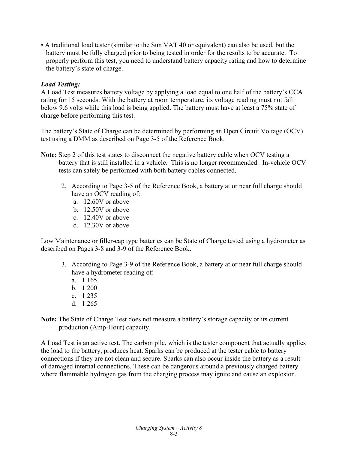• A traditional load tester (similar to the Sun VAT 40 or equivalent) can also be used, but the battery must be fully charged prior to being tested in order for the results to be accurate. To properly perform this test, you need to understand battery capacity rating and how to determine the battery's state of charge.

## *Load Testing:*

A Load Test measures battery voltage by applying a load equal to one half of the battery's CCA rating for 15 seconds. With the battery at room temperature, its voltage reading must not fall below 9.6 volts while this load is being applied. The battery must have at least a 75% state of charge before performing this test.

The battery's State of Charge can be determined by performing an Open Circuit Voltage (OCV) test using a DMM as described on Page 3-5 of the Reference Book.

- **Note:** Step 2 of this test states to disconnect the negative battery cable when OCV testing a battery that is still installed in a vehicle. This is no longer recommended. In-vehicle OCV tests can safely be performed with both battery cables connected.
	- 2. According to Page 3-5 of the Reference Book, a battery at or near full charge should have an OCV reading of:
		- a. 12.60V or above
		- b. 12.50V or above
		- c. 12.40V or above
		- d. 12.30V or above

Low Maintenance or filler-cap type batteries can be State of Charge tested using a hydrometer as described on Pages 3-8 and 3-9 of the Reference Book.

- 3. According to Page 3-9 of the Reference Book, a battery at or near full charge should have a hydrometer reading of:
	- a. 1.165
	- b. 1.200
	- c. 1.235
	- d. 1.265
- **Note:** The State of Charge Test does not measure a battery's storage capacity or its current production (Amp-Hour) capacity.

A Load Test is an active test. The carbon pile, which is the tester component that actually applies the load to the battery, produces heat. Sparks can be produced at the tester cable to battery connections if they are not clean and secure. Sparks can also occur inside the battery as a result of damaged internal connections. These can be dangerous around a previously charged battery where flammable hydrogen gas from the charging process may ignite and cause an explosion.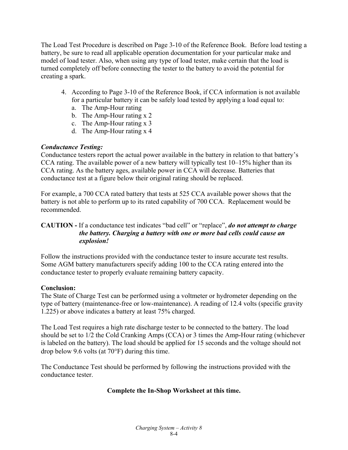The Load Test Procedure is described on Page 3-10 of the Reference Book. Before load testing a battery, be sure to read all applicable operation documentation for your particular make and model of load tester. Also, when using any type of load tester, make certain that the load is turned completely off before connecting the tester to the battery to avoid the potential for creating a spark.

- 4. According to Page 3-10 of the Reference Book, if CCA information is not available for a particular battery it can be safely load tested by applying a load equal to:
	- a. The Amp-Hour rating
	- b. The Amp-Hour rating x 2
	- c. The Amp-Hour rating x 3
	- d. The Amp-Hour rating x 4

## *Conductance Testing:*

Conductance testers report the actual power available in the battery in relation to that battery's CCA rating. The available power of a new battery will typically test 10–15% higher than its CCA rating. As the battery ages, available power in CCA will decrease. Batteries that conductance test at a figure below their original rating should be replaced.

For example, a 700 CCA rated battery that tests at 525 CCA available power shows that the battery is not able to perform up to its rated capability of 700 CCA. Replacement would be recommended.

## **CAUTION -** If a conductance test indicates "bad cell" or "replace", *do not attempt to charge the battery. Charging a battery with one or more bad cells could cause an explosion!*

Follow the instructions provided with the conductance tester to insure accurate test results. Some AGM battery manufacturers specify adding 100 to the CCA rating entered into the conductance tester to properly evaluate remaining battery capacity.

## **Conclusion:**

The State of Charge Test can be performed using a voltmeter or hydrometer depending on the type of battery (maintenance-free or low-maintenance). A reading of 12.4 volts (specific gravity 1.225) or above indicates a battery at least 75% charged.

The Load Test requires a high rate discharge tester to be connected to the battery. The load should be set to 1/2 the Cold Cranking Amps (CCA) or 3 times the Amp-Hour rating (whichever is labeled on the battery). The load should be applied for 15 seconds and the voltage should not drop below 9.6 volts (at  $70^{\circ}$ F) during this time.

The Conductance Test should be performed by following the instructions provided with the conductance tester.

## **Complete the In-Shop Worksheet at this time.**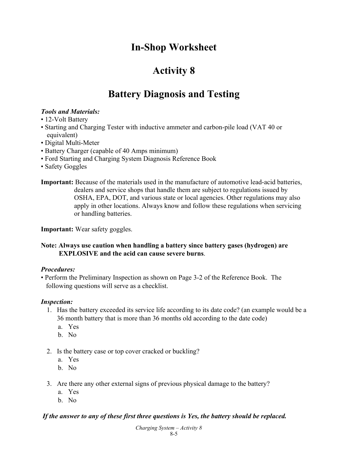## **In-Shop Worksheet**

## **Activity 8**

## **Battery Diagnosis and Testing**

## *Tools and Materials:*

- 12-Volt Battery
- Starting and Charging Tester with inductive ammeter and carbon-pile load (VAT 40 or equivalent)
- Digital Multi-Meter
- Battery Charger (capable of 40 Amps minimum)
- Ford Starting and Charging System Diagnosis Reference Book
- Safety Goggles
- **Important:** Because of the materials used in the manufacture of automotive lead-acid batteries, dealers and service shops that handle them are subject to regulations issued by OSHA, EPA, DOT, and various state or local agencies. Other regulations may also apply in other locations. Always know and follow these regulations when servicing or handling batteries.

**Important:** Wear safety goggles.

## **Note: Always use caution when handling a battery since battery gases (hydrogen) are EXPLOSIVE and the acid can cause severe burns**.

## *Procedures:*

• Perform the Preliminary Inspection as shown on Page 3-2 of the Reference Book. The following questions will serve as a checklist.

## *Inspection:*

- 1. Has the battery exceeded its service life according to its date code? (an example would be a 36 month battery that is more than 36 months old according to the date code)
	- a. Yes
	- b. No
- 2. Is the battery case or top cover cracked or buckling?
	- a. Yes
	- b. No
- 3. Are there any other external signs of previous physical damage to the battery?
	- a. Yes
	- b. No

## *If the answer to any of these first three questions is Yes, the battery should be replaced.*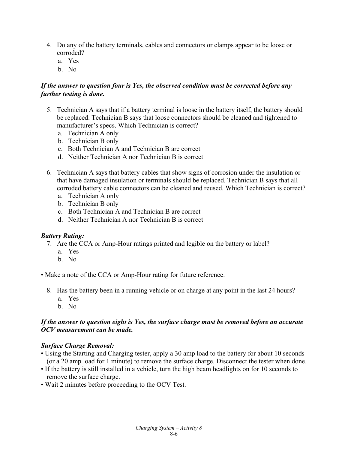- 4. Do any of the battery terminals, cables and connectors or clamps appear to be loose or corroded?
	- a. Yes
	- b. No

## *If the answer to question four is Yes, the observed condition must be corrected before any further testing is done.*

- 5. Technician A says that if a battery terminal is loose in the battery itself, the battery should be replaced. Technician B says that loose connectors should be cleaned and tightened to manufacturer's specs. Which Technician is correct?
	- a. Technician A only
	- b. Technician B only
	- c. Both Technician A and Technician B are correct
	- d. Neither Technician A nor Technician B is correct
- 6. Technician A says that battery cables that show signs of corrosion under the insulation or that have damaged insulation or terminals should be replaced. Technician B says that all corroded battery cable connectors can be cleaned and reused. Which Technician is correct?
	- a. Technician A only
	- b. Technician B only
	- c. Both Technician A and Technician B are correct
	- d. Neither Technician A nor Technician B is correct

#### *Battery Rating:*

- 7. Are the CCA or Amp-Hour ratings printed and legible on the battery or label?
	- a. Yes
	- b. No

• Make a note of the CCA or Amp-Hour rating for future reference.

- 8. Has the battery been in a running vehicle or on charge at any point in the last 24 hours? a. Yes
	- b. No

#### *If the answer to question eight is Yes, the surface charge must be removed before an accurate OCV measurement can be made.*

#### *Surface Charge Removal:*

- Using the Starting and Charging tester, apply a 30 amp load to the battery for about 10 seconds (or a 20 amp load for 1 minute) to remove the surface charge. Disconnect the tester when done.
- If the battery is still installed in a vehicle, turn the high beam headlights on for 10 seconds to remove the surface charge.
- Wait 2 minutes before proceeding to the OCV Test.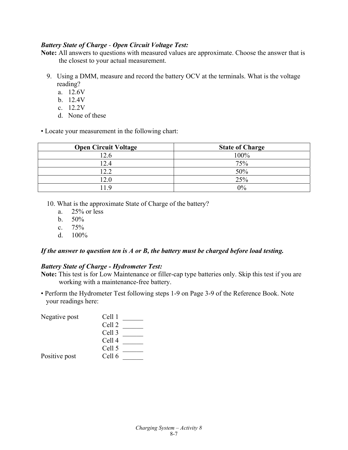#### *Battery State of Charge - Open Circuit Voltage Test:*

**Note:** All answers to questions with measured values are approximate. Choose the answer that is the closest to your actual measurement.

- 9. Using a DMM, measure and record the battery OCV at the terminals. What is the voltage reading?
	- a. 12.6V
	- b. 12.4V
	- c. 12.2V
	- d. None of these

• Locate your measurement in the following chart:

| <b>Open Circuit Voltage</b> | <b>State of Charge</b> |
|-----------------------------|------------------------|
| 12.6                        | 100%                   |
| 12.4                        | 75%                    |
| 12.2                        | 50%                    |
| 12.0                        | 25%                    |
| 11 Q                        | $0\%$                  |

- 10. What is the approximate State of Charge of the battery?
	- a.  $25\%$  or less
	- b. 50%
	- c.  $75%$
	- d. 100%

#### *If the answer to question ten is A or B, the battery must be charged before load testing.*

#### *Battery State of Charge - Hydrometer Test:*

**Note:** This test is for Low Maintenance or filler-cap type batteries only. Skip this test if you are working with a maintenance-free battery.

• Perform the Hydrometer Test following steps 1-9 on Page 3-9 of the Reference Book. Note your readings here:

| Negative post | Cell 1            |  |
|---------------|-------------------|--|
|               | Cell 2            |  |
|               | Cell 3            |  |
|               | Cell <sub>4</sub> |  |
|               | Cell 5            |  |
| Positive post | Cell 6            |  |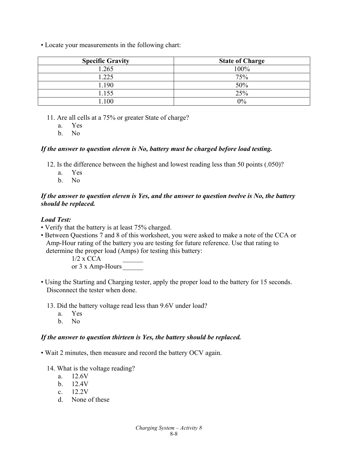• Locate your measurements in the following chart:

| <b>Specific Gravity</b> | <b>State of Charge</b> |
|-------------------------|------------------------|
| 1.265                   | 100%                   |
| .225                    | 75%                    |
| 1.190                   | 50%                    |
| 1.155                   | 25%                    |
| .100                    | $0\%$                  |

11. Are all cells at a 75% or greater State of charge?

a. Yes

b. No

#### *If the answer to question eleven is No, battery must be charged before load testing.*

- 12. Is the difference between the highest and lowest reading less than 50 points (.050)?
	- a. Yes
	- b. No

#### *If the answer to question eleven is Yes, and the answer to question twelve is No, the battery should be replaced.*

## *Load Test:*

- Verify that the battery is at least 75% charged.
- Between Questions 7 and 8 of this worksheet, you were asked to make a note of the CCA or Amp-Hour rating of the battery you are testing for future reference. Use that rating to determine the proper load (Amps) for testing this battery:

 $1/2$  x CCA

or 3 x Amp-Hours

- Using the Starting and Charging tester, apply the proper load to the battery for 15 seconds. Disconnect the tester when done.
	- 13. Did the battery voltage read less than 9.6V under load?
		- a. Yes
		- b. No

#### *If the answer to question thirteen is Yes, the battery should be replaced.*

- Wait 2 minutes, then measure and record the battery OCV again.
	- 14. What is the voltage reading?
		- a. 12.6V
		- b. 12.4V
		- c.  $12.2V$
		- d. None of these